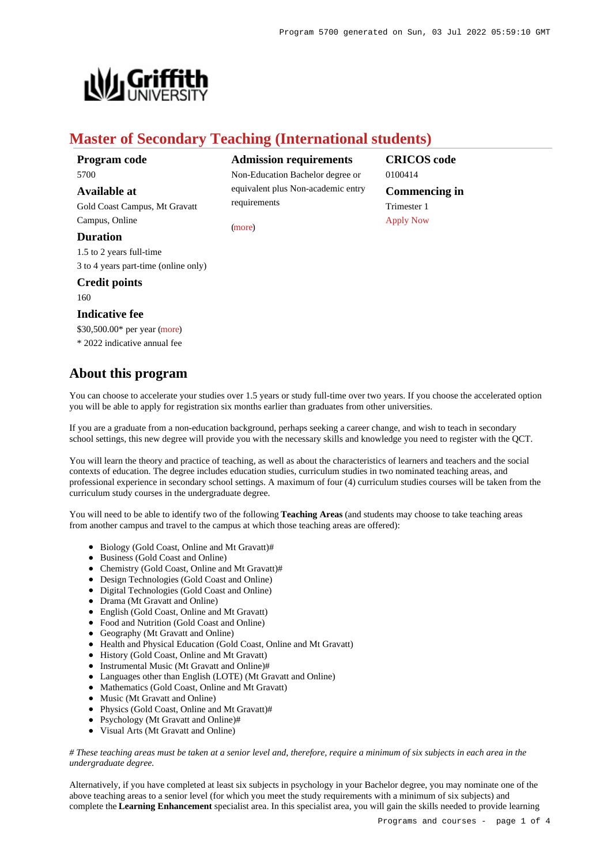

# **Master of Secondary Teaching (International students)**

**Program code** 5700

# **Available at**

Gold Coast Campus, Mt Gravatt Campus, Online

# **Duration**

1.5 to 2 years full-time 3 to 4 years part-time (online only)

# **Credit points**

160

# **Indicative fee**

\$30,500.00\* per year [\(more](https://www148.griffith.edu.au/programs-courses/Program/5700/Overview/International#fees)) \* 2022 indicative annual fee

# **About this program**

**Admission requirements**

Non-Education Bachelor degree or equivalent plus Non-academic entry requirements

[\(more](https://www148.griffith.edu.au/programs-courses/Program/5700/HowToApply/International#can-i-apply))

**CRICOS code** 0100414 **Commencing in** Trimester 1 [Apply Now](https://www148.griffith.edu.au/programs-courses/Program/5700/HowToApply/International#process)

You can choose to accelerate your studies over 1.5 years or study full-time over two years. If you choose the accelerated option you will be able to apply for registration six months earlier than graduates from other universities.

If you are a graduate from a non-education background, perhaps seeking a career change, and wish to teach in secondary school settings, this new degree will provide you with the necessary skills and knowledge you need to register with the QCT.

You will learn the theory and practice of teaching, as well as about the characteristics of learners and teachers and the social contexts of education. The degree includes education studies, curriculum studies in two nominated teaching areas, and professional experience in secondary school settings. A maximum of four (4) curriculum studies courses will be taken from the curriculum study courses in the undergraduate degree.

You will need to be able to identify two of the following **Teaching Areas** (and students may choose to take teaching areas from another campus and travel to the campus at which those teaching areas are offered):

- Biology (Gold Coast, Online and Mt Gravatt)#
- Business (Gold Coast and Online)
- Chemistry (Gold Coast, Online and Mt Gravatt)#
- Design Technologies (Gold Coast and Online)
- Digital Technologies (Gold Coast and Online)
- Drama (Mt Gravatt and Online)
- English (Gold Coast, Online and Mt Gravatt)
- Food and Nutrition (Gold Coast and Online)
- Geography (Mt Gravatt and Online)
- Health and Physical Education (Gold Coast, Online and Mt Gravatt)
- History (Gold Coast, Online and Mt Gravatt)
- Instrumental Music (Mt Gravatt and Online)#
- Languages other than English (LOTE) (Mt Gravatt and Online)
- Mathematics (Gold Coast, Online and Mt Gravatt)
- Music (Mt Gravatt and Online)
- Physics (Gold Coast, Online and Mt Gravatt)#
- Psychology (Mt Gravatt and Online)#
- Visual Arts (Mt Gravatt and Online)

# *# These teaching areas must be taken at a senior level and, therefore, require a minimum of six subjects in each area in the undergraduate degree.*

Alternatively, if you have completed at least six subjects in psychology in your Bachelor degree, you may nominate one of the above teaching areas to a senior level (for which you meet the study requirements with a minimum of six subjects) and complete the **Learning Enhancement** specialist area. In this specialist area, you will gain the skills needed to provide learning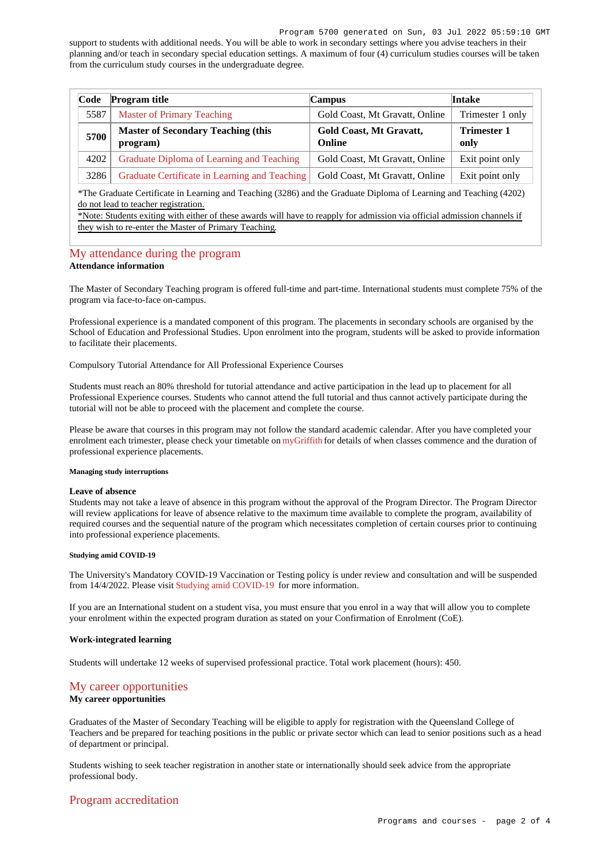#### Program 5700 generated on Sun, 03 Jul 2022 05:59:10 GMT

support to students with additional needs. You will be able to work in secondary settings where you advise teachers in their planning and/or teach in secondary special education settings. A maximum of four (4) curriculum studies courses will be taken from the curriculum study courses in the undergraduate degree.

| Code | <b>Program title</b>                                  | Campus                            | Intake                     |
|------|-------------------------------------------------------|-----------------------------------|----------------------------|
| 5587 | <b>Master of Primary Teaching</b>                     | Gold Coast, Mt Gravatt, Online    | Trimester 1 only           |
| 5700 | <b>Master of Secondary Teaching (this</b><br>program) | Gold Coast, Mt Gravatt,<br>Online | <b>Trimester 1</b><br>only |
| 4202 | Graduate Diploma of Learning and Teaching             | Gold Coast, Mt Gravatt, Online    | Exit point only            |
| 3286 | Graduate Certificate in Learning and Teaching         | Gold Coast, Mt Gravatt, Online    | Exit point only            |

\*The Graduate Certificate in Learning and Teaching (3286) and the Graduate Diploma of Learning and Teaching (4202) do not lead to teacher registration.

\*Note: Students exiting with either of these awards will have to reapply for admission via official admission channels if they wish to re-enter the Master of Primary Teaching.

# [My attendance during the program](https://www148.griffith.edu.au/programs-courses/Program/5700/Overview/International#attendance) **Attendance information**

The Master of Secondary Teaching program is offered full-time and part-time. International students must complete 75% of the program via face-to-face on-campus.

Professional experience is a mandated component of this program. The placements in secondary schools are organised by the School of Education and Professional Studies. Upon enrolment into the program, students will be asked to provide information to facilitate their placements.

Compulsory Tutorial Attendance for All Professional Experience Courses

Students must reach an 80% threshold for tutorial attendance and active participation in the lead up to placement for all Professional Experience courses. Students who cannot attend the full tutorial and thus cannot actively participate during the tutorial will not be able to proceed with the placement and complete the course.

Please be aware that courses in this program may not follow the standard academic calendar. After you have completed your enrolment each trimester, please check your timetable on [myGriffith](https://my.griffith.edu.au/) for details of when classes commence and the duration of professional experience placements.

## **Managing study interruptions**

## **Leave of absence**

Students may not take a leave of absence in this program without the approval of the Program Director. The Program Director will review applications for leave of absence relative to the maximum time available to complete the program, availability of required courses and the sequential nature of the program which necessitates completion of certain courses prior to continuing into professional experience placements.

# **Studying amid COVID-19**

The University's Mandatory COVID-19 Vaccination or Testing policy is under review and consultation and will be suspended from 14/4/2022. Please visit [Studying amid COVID-19](https://www.griffith.edu.au/coronavirus/studying-amid-covid-19) for more information.

If you are an International student on a student visa, you must ensure that you enrol in a way that will allow you to complete your enrolment within the expected program duration as stated on your Confirmation of Enrolment (CoE).

# **Work-integrated learning**

Students will undertake 12 weeks of supervised professional practice. Total work placement (hours): 450.

# [My career opportunities](https://www148.griffith.edu.au/programs-courses/Program/5700/Overview/International#opportunities)

# **My career opportunities**

Graduates of the Master of Secondary Teaching will be eligible to apply for registration with the Queensland College of Teachers and be prepared for teaching positions in the public or private sector which can lead to senior positions such as a head of department or principal.

Students wishing to seek teacher registration in another state or internationally should seek advice from the appropriate professional body.

# [Program accreditation](https://www148.griffith.edu.au/programs-courses/Program/5700/Overview/International#accreditation)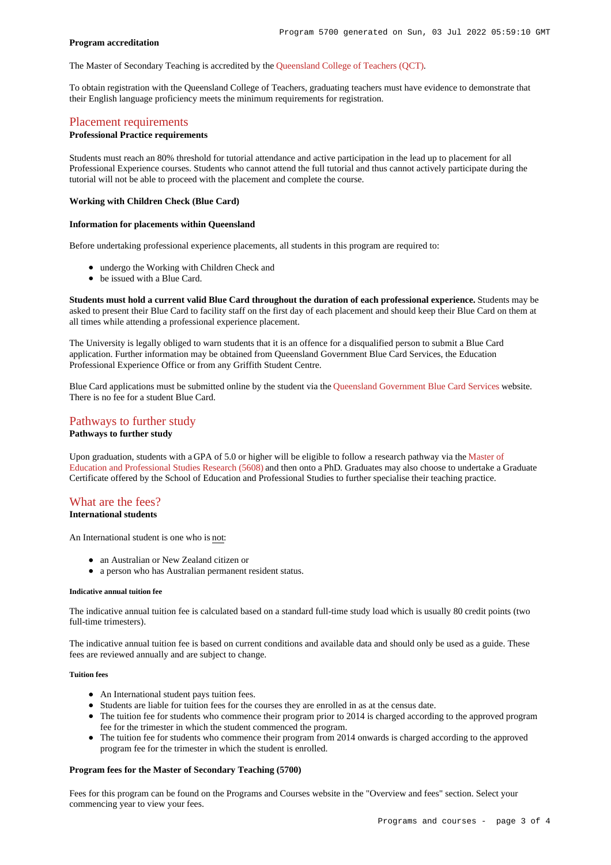# **Program accreditation**

The Master of Secondary Teaching is accredited by the [Queensland College of Teachers \(QCT\)](http://www.qct.edu.au/).

To obtain registration with the Queensland College of Teachers, graduating teachers must have evidence to demonstrate that their English language proficiency meets the minimum requirements for registration.

# [Placement requirements](https://www148.griffith.edu.au/programs-courses/Program/5700/Overview/International#placement)

# **Professional Practice requirements**

Students must reach an 80% threshold for tutorial attendance and active participation in the lead up to placement for all Professional Experience courses. Students who cannot attend the full tutorial and thus cannot actively participate during the tutorial will not be able to proceed with the placement and complete the course.

# **Working with Children Check (Blue Card)**

## **Information for placements within Queensland**

Before undertaking professional experience placements, all students in this program are required to:

- undergo the Working with Children Check and
- be issued with a Blue Card.

**Students must hold a current valid Blue Card throughout the duration of each professional experience.** Students may be asked to present their Blue Card to facility staff on the first day of each placement and should keep their Blue Card on them at all times while attending a professional experience placement.

The University is legally obliged to warn students that it is an offence for a disqualified person to submit a Blue Card application. Further information may be obtained from Queensland Government Blue Card Services, the Education Professional Experience Office or from any Griffith Student Centre.

Blue Card applications must be submitted online by the student via the [Queensland Government Blue Card Services](https://www.bluecard.qld.gov.au/) website. There is no fee for a student Blue Card.

# [Pathways to further study](https://www148.griffith.edu.au/programs-courses/Program/5700/Overview/International#pathways) **Pathways to further study**

Upon graduation, students with a GPA of 5.0 or higher will be eligible to follow a research pathway via the [Master of](https://www148.griffith.edu.au/Search/Results?SearchText=5608) [Education and Professional Studies Research \(5608\)](https://www148.griffith.edu.au/Search/Results?SearchText=5608) and then onto a PhD. Graduates may also choose to undertake a Graduate Certificate offered by the School of Education and Professional Studies to further specialise their teaching practice.

### [What are the fees?](https://www148.griffith.edu.au/programs-courses/Program/5700/Overview/International#fees) **International students**

An International student is one who is not:

- an Australian or New Zealand citizen or
- a person who has Australian permanent resident status.

## **Indicative annual tuition fee**

The indicative annual tuition fee is calculated based on a standard full-time study load which is usually 80 credit points (two full-time trimesters).

The indicative annual tuition fee is based on current conditions and available data and should only be used as a guide. These fees are reviewed annually and are subject to change.

## **Tuition fees**

- An International student pays tuition fees.
- Students are liable for tuition fees for the courses they are enrolled in as at the census date.
- The tuition fee for students who commence their program prior to 2014 is charged according to the approved program fee for the trimester in which the student commenced the program.
- The tuition fee for students who commence their program from 2014 onwards is charged according to the approved program fee for the trimester in which the student is enrolled.

## **Program fees for the Master of Secondary Teaching (5700)**

Fees for this program can be found on the Programs and Courses website in the "Overview and fees" section. Select your commencing year to view your fees.